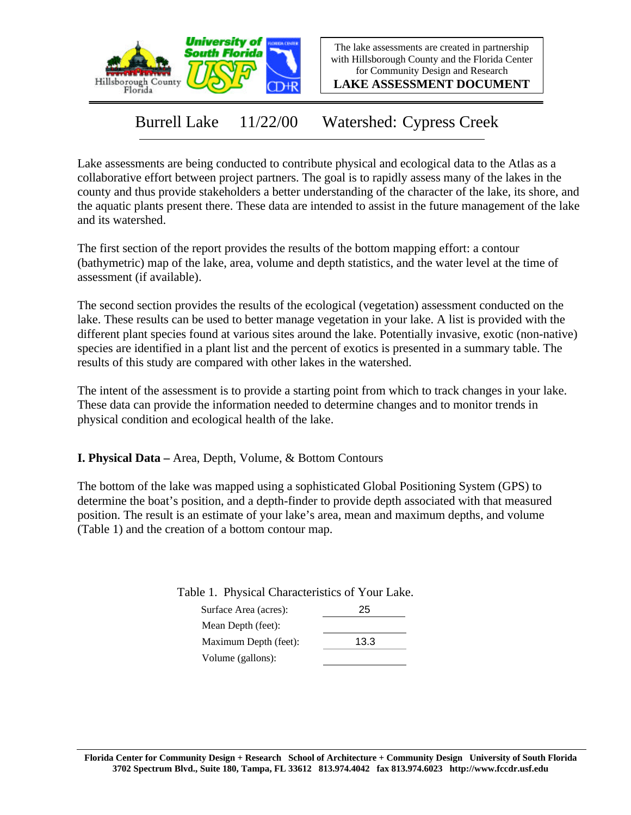

The lake assessments are created in partnership with Hillsborough County and the Florida Center for Community Design and Research

**LAKE ASSESSMENT DOCUMENT**

Burrell Lake 11/22/00 Watershed: Cypress Creek

Lake assessments are being conducted to contribute physical and ecological data to the Atlas as a collaborative effort between project partners. The goal is to rapidly assess many of the lakes in the county and thus provide stakeholders a better understanding of the character of the lake, its shore, and the aquatic plants present there. These data are intended to assist in the future management of the lake and its watershed.

The first section of the report provides the results of the bottom mapping effort: a contour (bathymetric) map of the lake, area, volume and depth statistics, and the water level at the time of assessment (if available).

The second section provides the results of the ecological (vegetation) assessment conducted on the lake. These results can be used to better manage vegetation in your lake. A list is provided with the different plant species found at various sites around the lake. Potentially invasive, exotic (non-native) species are identified in a plant list and the percent of exotics is presented in a summary table. The results of this study are compared with other lakes in the watershed.

The intent of the assessment is to provide a starting point from which to track changes in your lake. These data can provide the information needed to determine changes and to monitor trends in physical condition and ecological health of the lake.

**I. Physical Data –** Area, Depth, Volume, & Bottom Contours

The bottom of the lake was mapped using a sophisticated Global Positioning System (GPS) to determine the boat's position, and a depth-finder to provide depth associated with that measured position. The result is an estimate of your lake's area, mean and maximum depths, and volume (Table 1) and the creation of a bottom contour map.

Table 1. Physical Characteristics of Your Lake.

| Surface Area (acres): | 25   |
|-----------------------|------|
| Mean Depth (feet):    |      |
| Maximum Depth (feet): | 13.3 |
| Volume (gallons):     |      |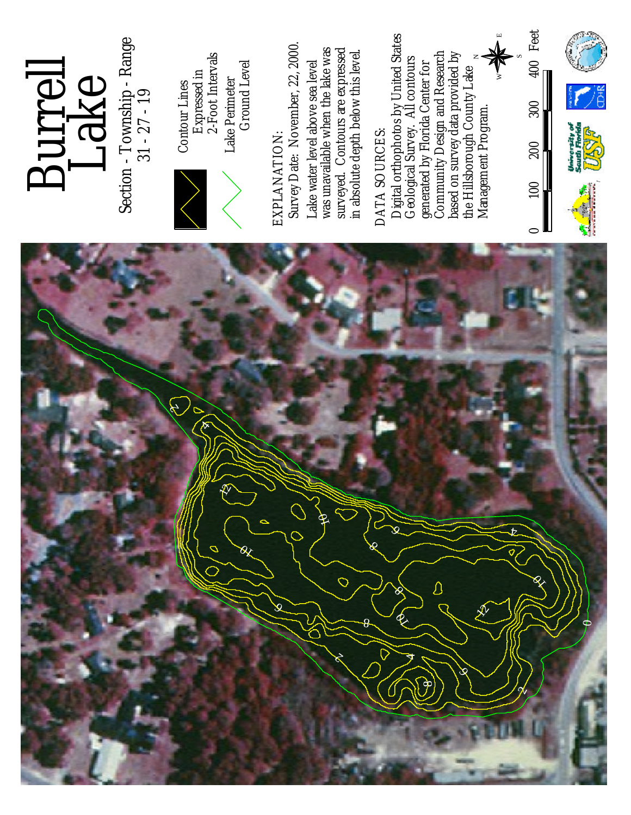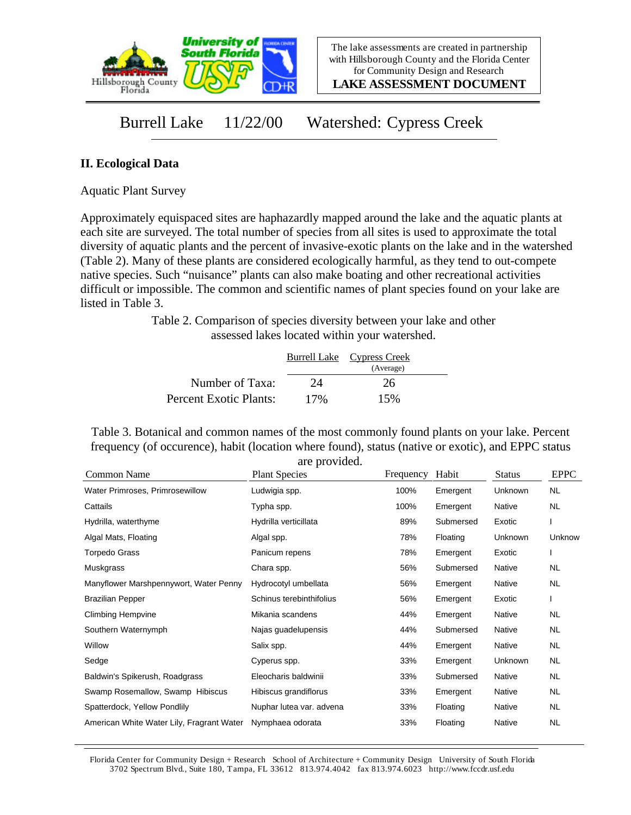

**LAKE ASSESSMENT DOCUMENT**

## Burrell Lake 11/22/00 Watershed: Cypress Creek

## **II. Ecological Data**

Aquatic Plant Survey

Approximately equispaced sites are haphazardly mapped around the lake and the aquatic plants at each site are surveyed. The total number of species from all sites is used to approximate the total diversity of aquatic plants and the percent of invasive-exotic plants on the lake and in the watershed (Table 2). Many of these plants are considered ecologically harmful, as they tend to out-compete native species. Such "nuisance" plants can also make boating and other recreational activities difficult or impossible. The common and scientific names of plant species found on your lake are listed in Table 3.

> Table 2. Comparison of species diversity between your lake and other assessed lakes located within your watershed.

|                        |     | Burrell Lake Cypress Creek |  |
|------------------------|-----|----------------------------|--|
|                        |     | (Average)                  |  |
| Number of Taxa:        | 24  | 26                         |  |
| Percent Exotic Plants: | 17% | 15%                        |  |

Table 3. Botanical and common names of the most commonly found plants on your lake. Percent frequency (of occurence), habit (location where found), status (native or exotic), and EPPC status are provided.

| Common Name                               | <b>Plant Species</b>     | Frequency | Habit     | <b>Status</b> | <b>EPPC</b> |
|-------------------------------------------|--------------------------|-----------|-----------|---------------|-------------|
| Water Primroses, Primrosewillow           | Ludwigia spp.            | 100%      | Emergent  | Unknown       | NL.         |
| Cattails                                  | Typha spp.               | 100%      | Emergent  | <b>Native</b> | NL.         |
| Hydrilla, waterthyme                      | Hydrilla verticillata    | 89%       | Submersed | Exotic        |             |
| Algal Mats, Floating                      | Algal spp.               | 78%       | Floating  | Unknown       | Unknow      |
| Torpedo Grass                             | Panicum repens           | 78%       | Emergent  | Exotic        |             |
| Muskgrass                                 | Chara spp.               | 56%       | Submersed | Native        | <b>NL</b>   |
| Manyflower Marshpennywort, Water Penny    | Hydrocotyl umbellata     | 56%       | Emergent  | <b>Native</b> | <b>NL</b>   |
| <b>Brazilian Pepper</b>                   | Schinus terebinthifolius | 56%       | Emergent  | Exotic        |             |
| <b>Climbing Hempvine</b>                  | Mikania scandens         | 44%       | Emergent  | Native        | NL.         |
| Southern Waternymph                       | Najas guadelupensis      | 44%       | Submersed | Native        | NL          |
| Willow                                    | Salix spp.               | 44%       | Emergent  | Native        | NL          |
| Sedge                                     | Cyperus spp.             | 33%       | Emergent  | Unknown       | NL.         |
| Baldwin's Spikerush, Roadgrass            | Eleocharis baldwinii     | 33%       | Submersed | Native        | <b>NL</b>   |
| Swamp Rosemallow, Swamp Hibiscus          | Hibiscus grandiflorus    | 33%       | Emergent  | Native        | NL.         |
| Spatterdock, Yellow Pondlily              | Nuphar lutea var. advena | 33%       | Floating  | Native        | NL.         |
| American White Water Lily, Fragrant Water | Nymphaea odorata         | 33%       | Floating  | Native        | <b>NL</b>   |

Florida Center for Community Design + Research School of Architecture + Community Design University of South Florida 3702 Spectrum Blvd., Suite 180, Tampa, FL 33612 813.974.4042 fax 813.974.6023 http://www.fccdr.usf.edu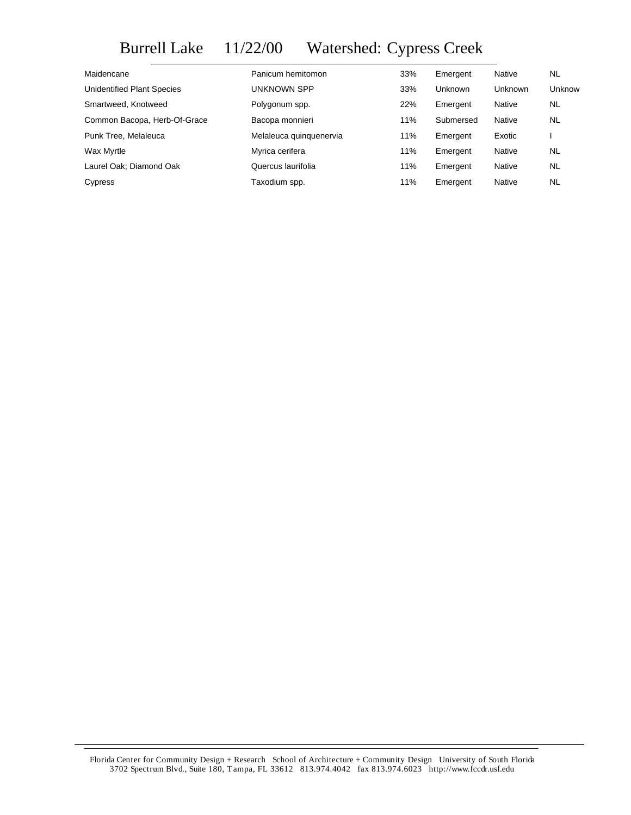## Burrell Lake 11/22/00 Watershed: Cypress Creek

| Maidencane                   | Panicum hemitomon       | 33% | Emergent       | Native         | <b>NL</b> |
|------------------------------|-------------------------|-----|----------------|----------------|-----------|
| Unidentified Plant Species   | UNKNOWN SPP             | 33% | <b>Unknown</b> | <b>Unknown</b> | Unknow    |
| Smartweed, Knotweed          | Polygonum spp.          | 22% | Emergent       | Native         | <b>NL</b> |
| Common Bacopa, Herb-Of-Grace | Bacopa monnieri         | 11% | Submersed      | Native         | <b>NL</b> |
| Punk Tree, Melaleuca         | Melaleuca guinguenervia | 11% | Emergent       | Exotic         |           |
| Wax Myrtle                   | Myrica cerifera         | 11% | Emergent       | <b>Native</b>  | <b>NL</b> |
| Laurel Oak; Diamond Oak      | Quercus laurifolia      | 11% | Emergent       | Native         | <b>NL</b> |
| Cypress                      | Taxodium spp.           | 11% | Emergent       | <b>Native</b>  | <b>NL</b> |